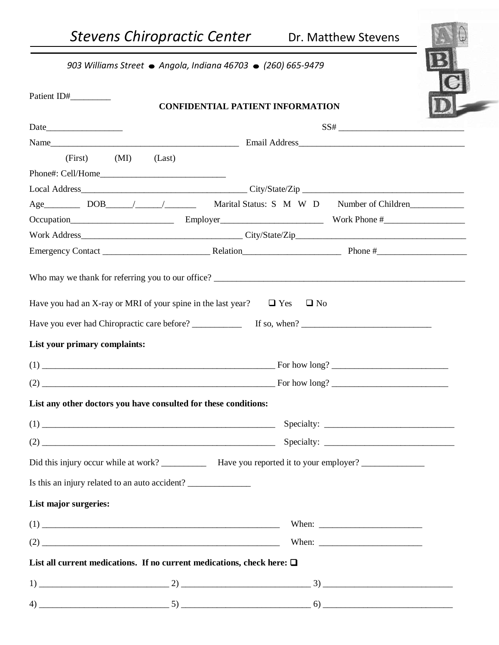*903 Williams Street ● Angola, Indiana 46703 ● (260) 665-9479* 

| Patient ID#                                                                                                                                                                                                                                                                                                                                                                                                                                                                         | <b>CONFIDENTIAL PATIENT INFORMATION</b>                                                                                                                                                                                                                                                                                                                                                                                                                                                                     |  |  |  |  |
|-------------------------------------------------------------------------------------------------------------------------------------------------------------------------------------------------------------------------------------------------------------------------------------------------------------------------------------------------------------------------------------------------------------------------------------------------------------------------------------|-------------------------------------------------------------------------------------------------------------------------------------------------------------------------------------------------------------------------------------------------------------------------------------------------------------------------------------------------------------------------------------------------------------------------------------------------------------------------------------------------------------|--|--|--|--|
|                                                                                                                                                                                                                                                                                                                                                                                                                                                                                     |                                                                                                                                                                                                                                                                                                                                                                                                                                                                                                             |  |  |  |  |
|                                                                                                                                                                                                                                                                                                                                                                                                                                                                                     | $SS# \begin{tabular}{c} \multicolumn{2}{c} {\textbf{--}} & \multicolumn{2}{c} {\textbf{--}} \\ \multicolumn{2}{c} {\textbf{--}} & \multicolumn{2}{c} {\textbf{--}} \\ \multicolumn{2}{c} {\textbf{--}} & \multicolumn{2}{c} {\textbf{--}} \\ \multicolumn{2}{c} {\textbf{--}} & \multicolumn{2}{c} {\textbf{--}} \\ \multicolumn{2}{c} {\textbf{--}} & \multicolumn{2}{c} {\textbf{--}} \\ \multicolumn{2}{c} {\textbf{--}} & \multicolumn{2}{c} {\textbf{--}} \\ \multicolumn{2}{c} {\textbf{--}} & \mult$ |  |  |  |  |
| $(First)$ $(MI)$<br>(Last)                                                                                                                                                                                                                                                                                                                                                                                                                                                          |                                                                                                                                                                                                                                                                                                                                                                                                                                                                                                             |  |  |  |  |
|                                                                                                                                                                                                                                                                                                                                                                                                                                                                                     |                                                                                                                                                                                                                                                                                                                                                                                                                                                                                                             |  |  |  |  |
|                                                                                                                                                                                                                                                                                                                                                                                                                                                                                     |                                                                                                                                                                                                                                                                                                                                                                                                                                                                                                             |  |  |  |  |
|                                                                                                                                                                                                                                                                                                                                                                                                                                                                                     |                                                                                                                                                                                                                                                                                                                                                                                                                                                                                                             |  |  |  |  |
|                                                                                                                                                                                                                                                                                                                                                                                                                                                                                     |                                                                                                                                                                                                                                                                                                                                                                                                                                                                                                             |  |  |  |  |
|                                                                                                                                                                                                                                                                                                                                                                                                                                                                                     |                                                                                                                                                                                                                                                                                                                                                                                                                                                                                                             |  |  |  |  |
|                                                                                                                                                                                                                                                                                                                                                                                                                                                                                     |                                                                                                                                                                                                                                                                                                                                                                                                                                                                                                             |  |  |  |  |
| Have you had an X-ray or MRI of your spine in the last year? $\Box$ Yes<br>List your primary complaints:                                                                                                                                                                                                                                                                                                                                                                            | $\Box$ No                                                                                                                                                                                                                                                                                                                                                                                                                                                                                                   |  |  |  |  |
|                                                                                                                                                                                                                                                                                                                                                                                                                                                                                     |                                                                                                                                                                                                                                                                                                                                                                                                                                                                                                             |  |  |  |  |
| $(2)$ For how long?                                                                                                                                                                                                                                                                                                                                                                                                                                                                 |                                                                                                                                                                                                                                                                                                                                                                                                                                                                                                             |  |  |  |  |
| List any other doctors you have consulted for these conditions:                                                                                                                                                                                                                                                                                                                                                                                                                     |                                                                                                                                                                                                                                                                                                                                                                                                                                                                                                             |  |  |  |  |
|                                                                                                                                                                                                                                                                                                                                                                                                                                                                                     |                                                                                                                                                                                                                                                                                                                                                                                                                                                                                                             |  |  |  |  |
| $(2) \begin{tabular}{@{}c@{}} \hline \multicolumn{3}{c}{} & \multicolumn{3}{c}{} & \multicolumn{3}{c}{} & \multicolumn{3}{c}{} \\ \multicolumn{3}{c}{} & \multicolumn{3}{c}{} & \multicolumn{3}{c}{} & \multicolumn{3}{c}{} & \multicolumn{3}{c}{} \\ \multicolumn{3}{c}{} & \multicolumn{3}{c}{} & \multicolumn{3}{c}{} & \multicolumn{3}{c}{} & \multicolumn{3}{c}{} \\ \multicolumn{3}{c}{} & \multicolumn{3}{c}{} & \multicolumn{3}{c}{} & \multicolumn{3}{c}{} & \multicolumn$ |                                                                                                                                                                                                                                                                                                                                                                                                                                                                                                             |  |  |  |  |
|                                                                                                                                                                                                                                                                                                                                                                                                                                                                                     |                                                                                                                                                                                                                                                                                                                                                                                                                                                                                                             |  |  |  |  |
| Is this an injury related to an auto accident?                                                                                                                                                                                                                                                                                                                                                                                                                                      |                                                                                                                                                                                                                                                                                                                                                                                                                                                                                                             |  |  |  |  |
| List major surgeries:                                                                                                                                                                                                                                                                                                                                                                                                                                                               |                                                                                                                                                                                                                                                                                                                                                                                                                                                                                                             |  |  |  |  |
|                                                                                                                                                                                                                                                                                                                                                                                                                                                                                     |                                                                                                                                                                                                                                                                                                                                                                                                                                                                                                             |  |  |  |  |
|                                                                                                                                                                                                                                                                                                                                                                                                                                                                                     |                                                                                                                                                                                                                                                                                                                                                                                                                                                                                                             |  |  |  |  |
| List all current medications. If no current medications, check here: $\Box$                                                                                                                                                                                                                                                                                                                                                                                                         |                                                                                                                                                                                                                                                                                                                                                                                                                                                                                                             |  |  |  |  |
|                                                                                                                                                                                                                                                                                                                                                                                                                                                                                     |                                                                                                                                                                                                                                                                                                                                                                                                                                                                                                             |  |  |  |  |
|                                                                                                                                                                                                                                                                                                                                                                                                                                                                                     |                                                                                                                                                                                                                                                                                                                                                                                                                                                                                                             |  |  |  |  |